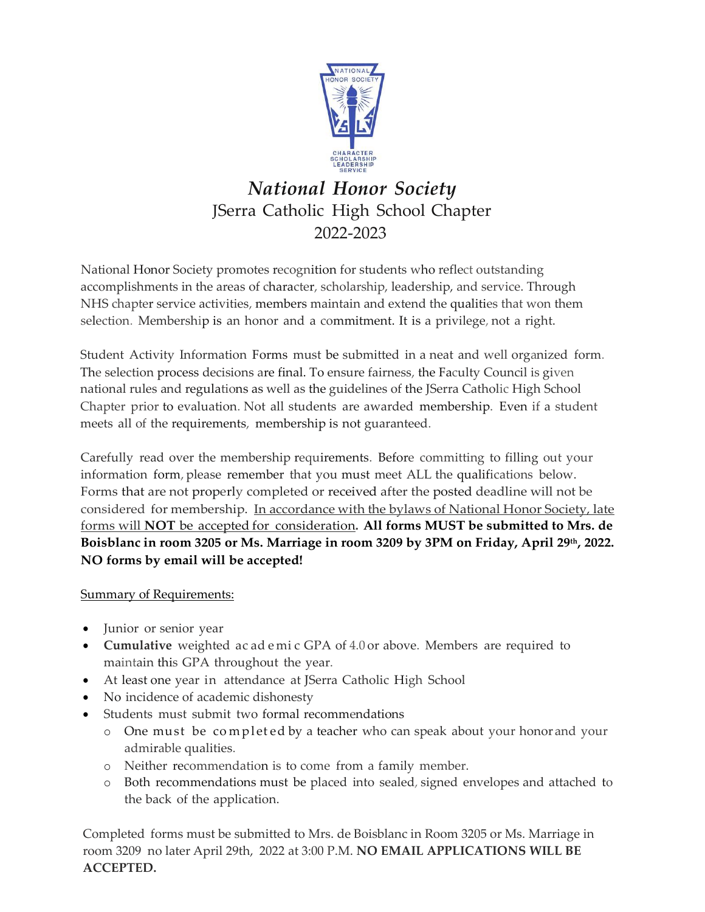

# *National Honor Society* JSerra Catholic High School Chapter 2022-2023

National Honor Society promotes recognition for students who reflect outstanding accomplishments in the areas of character, scholarship, leadership, and service. Through NHS chapter service activities, members maintain and extend the qualities that won them selection. Membership is an honor and a commitment. It is a privilege, not a right.

Student Activity Information Forms must be submitted in a neat and well organized form. The selection process decisions are final. To ensure fairness, the Faculty Council is given national rules and regulations as well as the guidelines of the JSerra Catholic High School Chapter prior to evaluation. Not all students are awarded membership. Even if a student meets all of the requirements, membership is not guaranteed.

Carefully read over the membership requirements. Before committing to filling out your information form, please remember that you must meet ALL the qualifications below. Forms that are not properly completed or received after the posted deadline will not be considered for membership. In accordance with the bylaws of National Honor Society, late forms will **NOT** be accepted for consideration**. All forms MUST be submitted to Mrs. de Boisblanc in room 3205 or Ms. Marriage in room 3209 by 3PM on Friday, April 29th, 2022. NO forms by email will be accepted!**

### Summary of Requirements:

- Junior or senior year
- **Cumulative** weighted ac ad e mi c GPA of 4.0 or above. Members are required to maintain this GPA throughout the year.
- At least one year in attendance at JSerra Catholic High School
- No incidence of academic dishonesty
- Students must submit two formal recommendations
	- o One must be completed by a teacher who can speak about your honor and your admirable qualities.
	- o Neither recommendation is to come from a family member.
	- o Both recommendations must be placed into sealed, signed envelopes and attached to the back of the application.

Completed forms must be submitted to Mrs. de Boisblanc in Room 3205 or Ms. Marriage in room 3209 no later April 29th, 2022 at 3:00 P.M. **NO EMAIL APPLICATIONS WILL BE ACCEPTED.**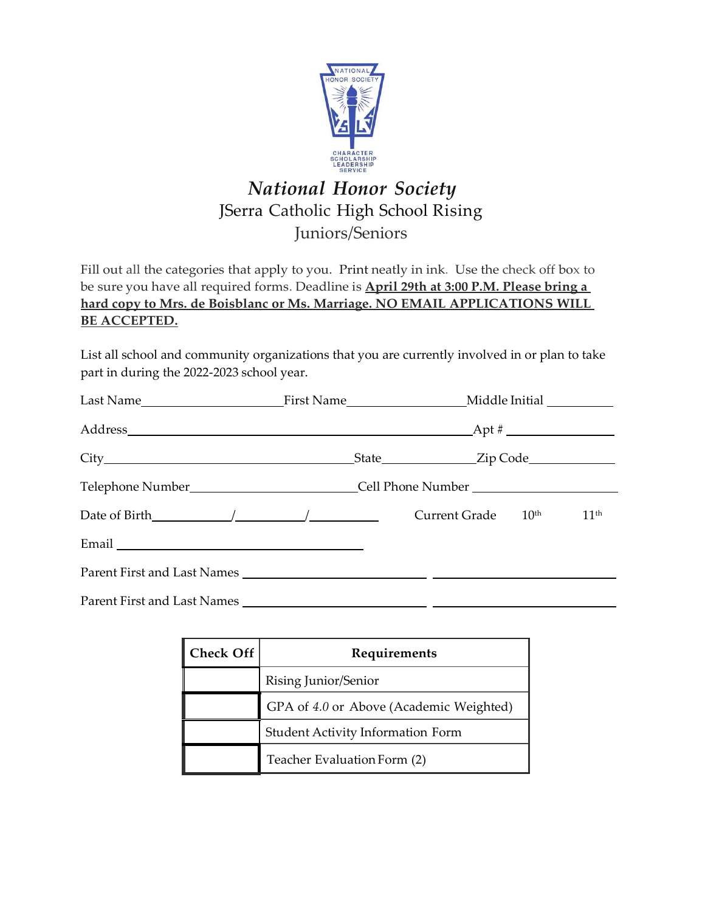

# *National Honor Society* JSerra Catholic High School Rising Juniors/Seniors

Fill out all the categories that apply to you. Print neatly in ink. Use the check off box to be sure you have all required forms. Deadline is **April 29th at 3:00 P.M. Please bring a hard copy to Mrs. de Boisblanc or Ms. Marriage. NO EMAIL APPLICATIONS WILL BE ACCEPTED.**

List all school and community organizations that you are currently involved in or plan to take part in during the 2022-2023 school year.

| Telephone Number_______________________________Cell Phone Number ________________ |                                |                  |
|-----------------------------------------------------------------------------------|--------------------------------|------------------|
| Date of Birth $\angle$                                                            | Current Grade 10 <sup>th</sup> | 11 <sup>th</sup> |
|                                                                                   |                                |                  |
|                                                                                   |                                |                  |
|                                                                                   |                                |                  |

| Check Off | Requirements                             |  |
|-----------|------------------------------------------|--|
|           | Rising Junior/Senior                     |  |
|           | GPA of 4.0 or Above (Academic Weighted)  |  |
|           | <b>Student Activity Information Form</b> |  |
|           | Teacher Evaluation Form (2)              |  |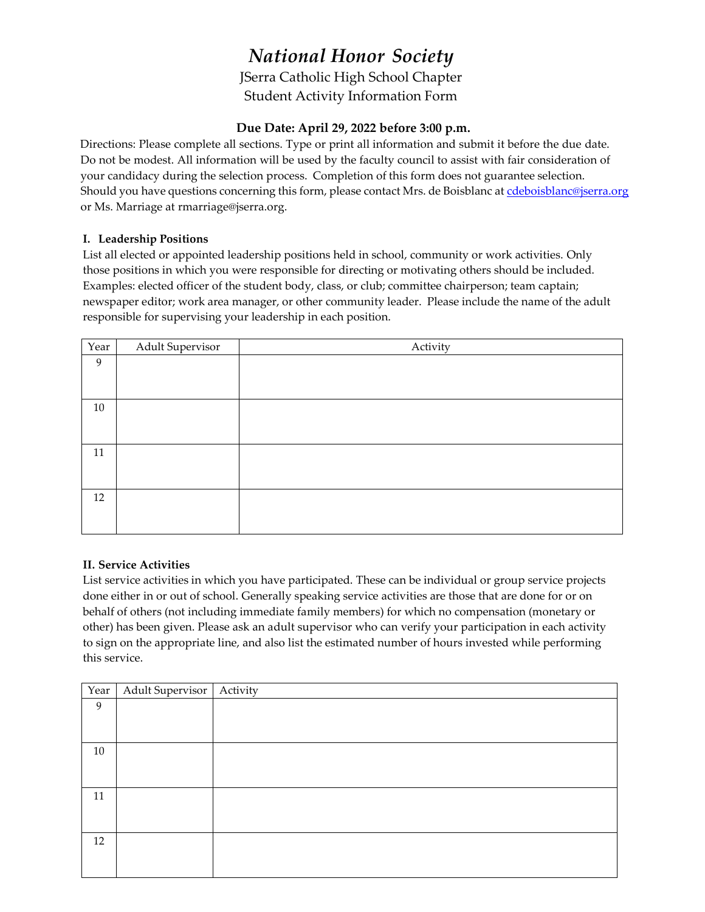### *National Honor Society* JSerra Catholic High School Chapter Student Activity Information Form

#### **Due Date: April 29, 2022 before 3:00 p.m.**

Directions: Please complete all sections. Type or print all information and submit it before the due date. Do not be modest. All information will be used by the faculty council to assist with fair consideration of your candidacy during the selection process. Completion of this form does not guarantee selection. Should you have questions concerning this form, please contact Mrs. de Boisblanc a[t cdeboisblanc@jserra.org](mailto:cdeboisblanc@jserra.org) or Ms. Marriage at rmarriage@jserra.org.

#### **I. Leadership Positions**

List all elected or appointed leadership positions held in school, community or work activities. Only those positions in which you were responsible for directing or motivating others should be included. Examples: elected officer of the student body, class, or club; committee chairperson; team captain; newspaper editor; work area manager, or other community leader. Please include the name of the adult responsible for supervising your leadership in each position.

| Year   | <b>Adult Supervisor</b> | Activity |
|--------|-------------------------|----------|
| 9      |                         |          |
|        |                         |          |
|        |                         |          |
| 10     |                         |          |
|        |                         |          |
|        |                         |          |
| $11\,$ |                         |          |
|        |                         |          |
|        |                         |          |
| 12     |                         |          |
|        |                         |          |
|        |                         |          |

#### **II. Service Activities**

List service activities in which you have participated. These can be individual or group service projects done either in or out of school. Generally speaking service activities are those that are done for or on behalf of others (not including immediate family members) for which no compensation (monetary or other) has been given. Please ask an adult supervisor who can verify your participation in each activity to sign on the appropriate line, and also list the estimated number of hours invested while performing this service.

|    | Year   Adult Supervisor   Activity |  |
|----|------------------------------------|--|
| 9  |                                    |  |
|    |                                    |  |
|    |                                    |  |
| 10 |                                    |  |
|    |                                    |  |
|    |                                    |  |
| 11 |                                    |  |
|    |                                    |  |
|    |                                    |  |
| 12 |                                    |  |
|    |                                    |  |
|    |                                    |  |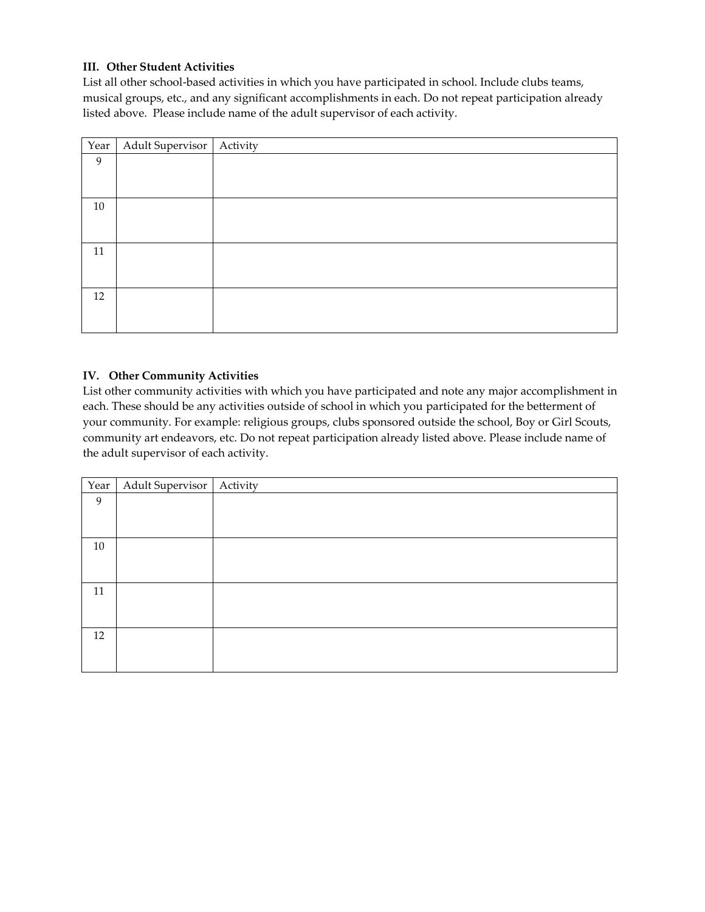#### **III. Other Student Activities**

List all other school-based activities in which you have participated in school. Include clubs teams, musical groups, etc., and any significant accomplishments in each. Do not repeat participation already listed above. Please include name of the adult supervisor of each activity.

| Year   | Adult Supervisor   Activity |  |
|--------|-----------------------------|--|
| 9      |                             |  |
|        |                             |  |
|        |                             |  |
| 10     |                             |  |
|        |                             |  |
|        |                             |  |
| $11\,$ |                             |  |
|        |                             |  |
|        |                             |  |
| 12     |                             |  |
|        |                             |  |
|        |                             |  |

#### **IV. Other Community Activities**

List other community activities with which you have participated and note any major accomplishment in each. These should be any activities outside of school in which you participated for the betterment of your community. For example: religious groups, clubs sponsored outside the school, Boy or Girl Scouts, community art endeavors, etc. Do not repeat participation already listed above. Please include name of the adult supervisor of each activity.

|    | Year   Adult Supervisor   Activity |  |
|----|------------------------------------|--|
| 9  |                                    |  |
|    |                                    |  |
|    |                                    |  |
| 10 |                                    |  |
|    |                                    |  |
|    |                                    |  |
| 11 |                                    |  |
|    |                                    |  |
|    |                                    |  |
| 12 |                                    |  |
|    |                                    |  |
|    |                                    |  |